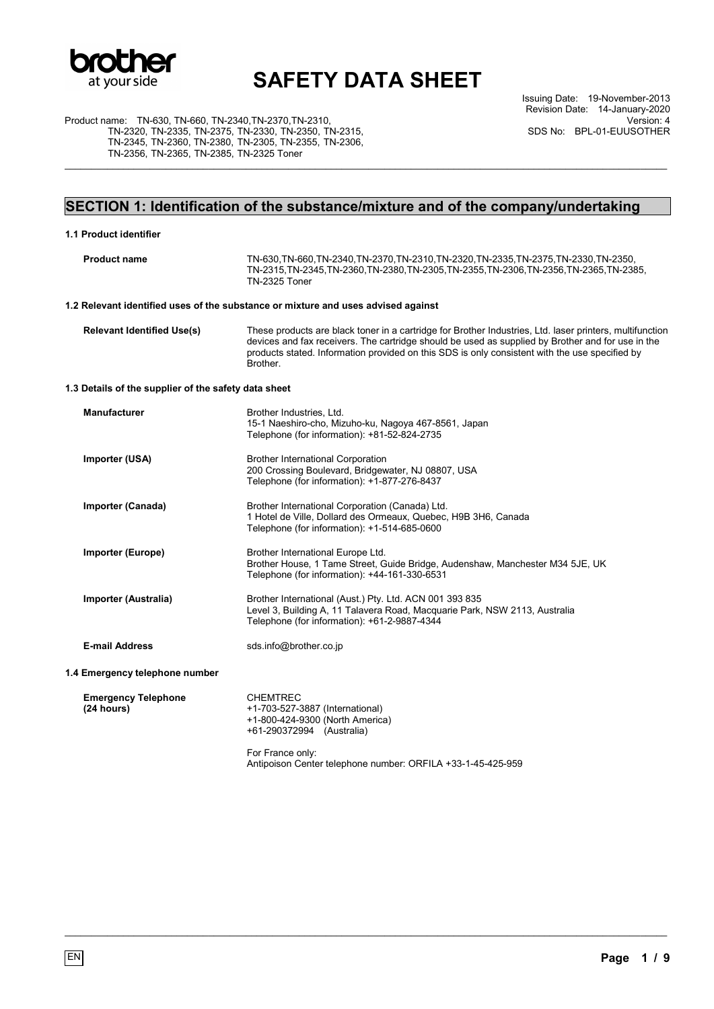

Issuing Date: 19-November-2013 Revision Date: 14-January-2020 Version: 4 SDS No: BPL-01-EUUSOTHER

Product name: TN-630, TN-660, TN-2340,TN-2370,TN-2310, TN-2320, TN-2335, TN-2375, TN-2330, TN-2350, TN-2315, TN-2345, TN-2360, TN-2380, TN-2305, TN-2355, TN-2306, TN-2356, TN-2365, TN-2385, TN-2325 Toner

## **SECTION 1: Identification of the substance/mixture and of the company/undertaking**

\_\_\_\_\_\_\_\_\_\_\_\_\_\_\_\_\_\_\_\_\_\_\_\_\_\_\_\_\_\_\_\_\_\_\_\_\_\_\_\_\_\_\_\_\_\_\_\_\_\_\_\_\_\_\_\_\_\_\_\_\_\_\_\_\_\_\_\_\_\_\_\_\_\_\_\_\_\_\_\_\_\_\_\_\_\_\_\_\_\_\_\_\_\_\_\_\_\_\_\_\_\_\_\_\_\_\_\_\_\_\_\_\_

| 1.1 Product identifier                               |                                                                                                                                                                                                                                                                                                                             |
|------------------------------------------------------|-----------------------------------------------------------------------------------------------------------------------------------------------------------------------------------------------------------------------------------------------------------------------------------------------------------------------------|
| <b>Product name</b>                                  | TN-630, TN-660, TN-2340, TN-2370, TN-2310, TN-2320, TN-2335, TN-2375, TN-2330, TN-2350,<br>TN-2315, TN-2345, TN-2360, TN-2380, TN-2305, TN-2355, TN-2306, TN-2356, TN-2365, TN-2385,<br>TN-2325 Toner                                                                                                                       |
|                                                      | 1.2 Relevant identified uses of the substance or mixture and uses advised against                                                                                                                                                                                                                                           |
| <b>Relevant Identified Use(s)</b>                    | These products are black toner in a cartridge for Brother Industries, Ltd. laser printers, multifunction<br>devices and fax receivers. The cartridge should be used as supplied by Brother and for use in the<br>products stated. Information provided on this SDS is only consistent with the use specified by<br>Brother. |
| 1.3 Details of the supplier of the safety data sheet |                                                                                                                                                                                                                                                                                                                             |
| <b>Manufacturer</b>                                  | Brother Industries, Ltd.<br>15-1 Naeshiro-cho, Mizuho-ku, Nagoya 467-8561, Japan<br>Telephone (for information): +81-52-824-2735                                                                                                                                                                                            |
| <b>Importer (USA)</b>                                | <b>Brother International Corporation</b><br>200 Crossing Boulevard, Bridgewater, NJ 08807, USA<br>Telephone (for information): +1-877-276-8437                                                                                                                                                                              |
| Importer (Canada)                                    | Brother International Corporation (Canada) Ltd.<br>1 Hotel de Ville, Dollard des Ormeaux, Quebec, H9B 3H6, Canada<br>Telephone (for information): +1-514-685-0600                                                                                                                                                           |
| Importer (Europe)                                    | Brother International Europe Ltd.<br>Brother House, 1 Tame Street, Guide Bridge, Audenshaw, Manchester M34 5JE, UK<br>Telephone (for information): +44-161-330-6531                                                                                                                                                         |
| Importer (Australia)                                 | Brother International (Aust.) Pty. Ltd. ACN 001 393 835<br>Level 3, Building A, 11 Talavera Road, Macquarie Park, NSW 2113, Australia<br>Telephone (for information): +61-2-9887-4344                                                                                                                                       |
| <b>E-mail Address</b>                                | sds.info@brother.co.jp                                                                                                                                                                                                                                                                                                      |
| 1.4 Emergency telephone number                       |                                                                                                                                                                                                                                                                                                                             |
| <b>Emergency Telephone</b><br>(24 hours)             | <b>CHEMTREC</b><br>+1-703-527-3887 (International)<br>+1-800-424-9300 (North America)<br>+61-290372994 (Australia)                                                                                                                                                                                                          |
|                                                      | For France only:<br>Antipoison Center telephone number: ORFILA +33-1-45-425-959                                                                                                                                                                                                                                             |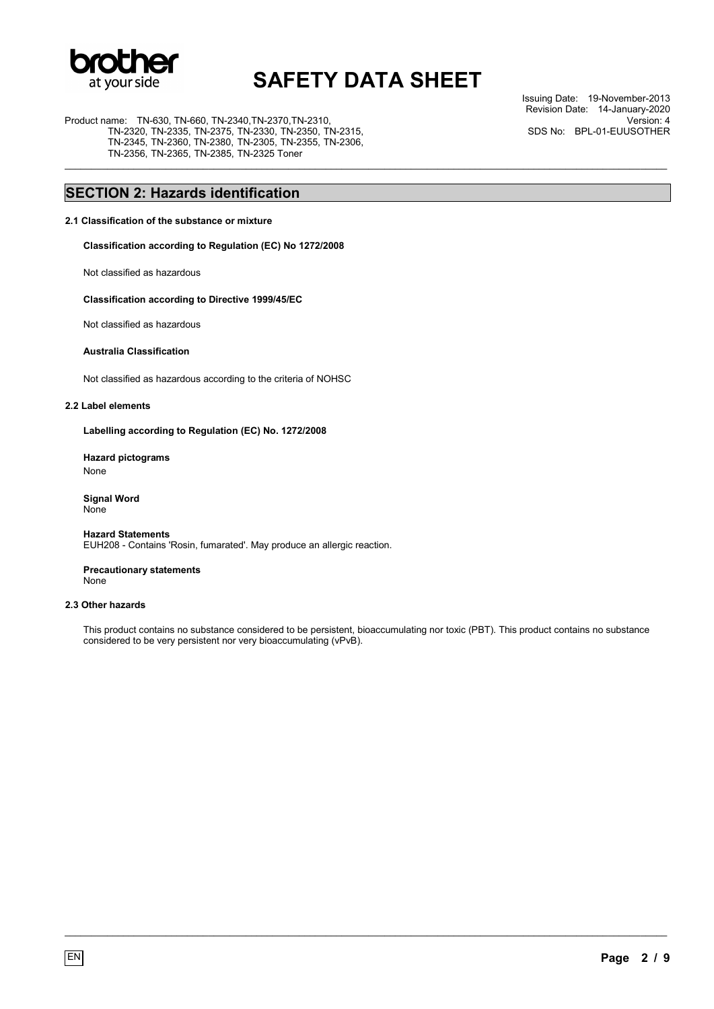

\_\_\_\_\_\_\_\_\_\_\_\_\_\_\_\_\_\_\_\_\_\_\_\_\_\_\_\_\_\_\_\_\_\_\_\_\_\_\_\_\_\_\_\_\_\_\_\_\_\_\_\_\_\_\_\_\_\_\_\_\_\_\_\_\_\_\_\_\_\_\_\_\_\_\_\_\_\_\_\_\_\_\_\_\_\_\_\_\_\_\_\_\_\_\_\_\_\_\_\_\_\_\_\_\_\_\_\_\_\_\_\_\_

Product name: TN-630, TN-660, TN-2340,TN-2370,TN-2310, TN-2320, TN-2335, TN-2375, TN-2330, TN-2350, TN-2315, TN-2345, TN-2360, TN-2380, TN-2305, TN-2355, TN-2306, TN-2356, TN-2365, TN-2385, TN-2325 Toner

Issuing Date: 19-November-2013 Revision Date: 14-January-2020 Version: 4 SDS No: BPL-01-EUUSOTHER

## **SECTION 2: Hazards identification**

#### **2.1 Classification of the substance or mixture**

**Classification according to Regulation (EC) No 1272/2008** 

Not classified as hazardous

#### **Classification according to Directive 1999/45/EC**

Not classified as hazardous

### **Australia Classification**

Not classified as hazardous according to the criteria of NOHSC

#### **2.2 Label elements**

**Labelling according to Regulation (EC) No. 1272/2008** 

### **Hazard pictograms**  None

**Signal Word** None

#### **Hazard Statements** EUH208 - Contains 'Rosin, fumarated'. May produce an allergic reaction.

**Precautionary statements** None

### **2.3 Other hazards**

This product contains no substance considered to be persistent, bioaccumulating nor toxic (PBT). This product contains no substance considered to be very persistent nor very bioaccumulating (vPvB).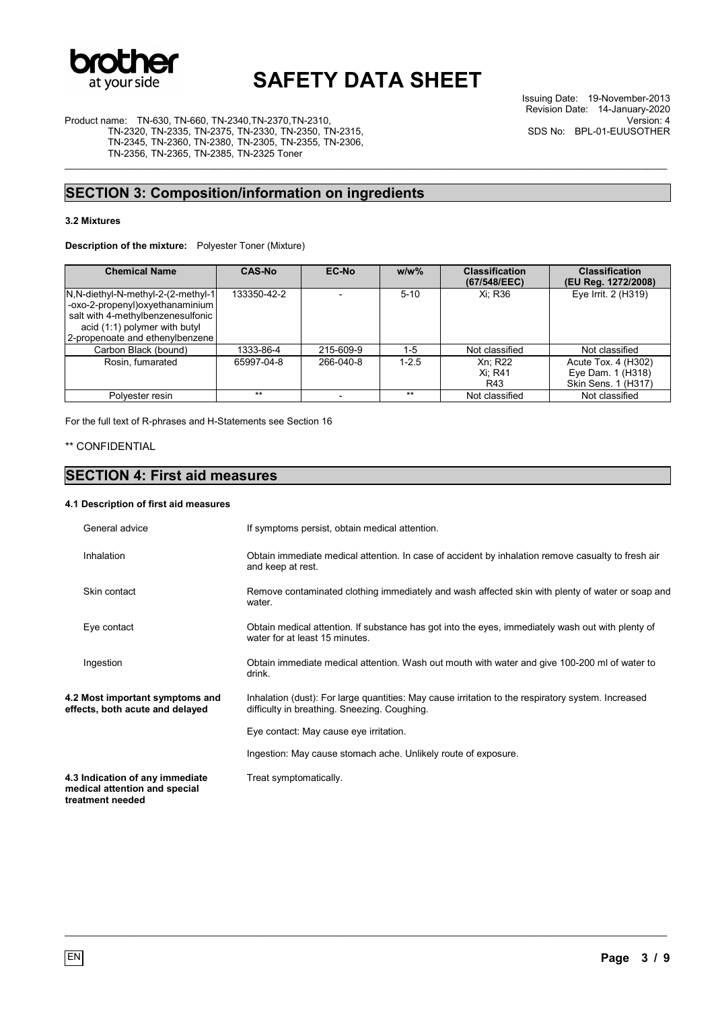

\_\_\_\_\_\_\_\_\_\_\_\_\_\_\_\_\_\_\_\_\_\_\_\_\_\_\_\_\_\_\_\_\_\_\_\_\_\_\_\_\_\_\_\_\_\_\_\_\_\_\_\_\_\_\_\_\_\_\_\_\_\_\_\_\_\_\_\_\_\_\_\_\_\_\_\_\_\_\_\_\_\_\_\_\_\_\_\_\_\_\_\_\_\_\_\_\_\_\_\_\_\_\_\_\_\_\_\_\_\_\_\_\_

Issuing Date: 19-November-2013 Revision Date: 14-January-2020 Version: 4 SDS No: BPL-01-EUUSOTHER

Product name: TN-630, TN-660, TN-2340,TN-2370,TN-2310, TN-2320, TN-2335, TN-2375, TN-2330, TN-2350, TN-2315, TN-2345, TN-2360, TN-2380, TN-2305, TN-2355, TN-2306, TN-2356, TN-2365, TN-2385, TN-2325 Toner

## **SECTION 3: Composition/information on ingredients**

### **3.2 Mixtures**

**Description of the mixture:** Polyester Toner (Mixture)

| <b>Chemical Name</b>                                                                                                                                                              | <b>CAS-No</b> | EC-No     | $w/w$ %   | <b>Classification</b><br>(67/548/EEC) | <b>Classification</b><br>(EU Reg. 1272/2008)                    |
|-----------------------------------------------------------------------------------------------------------------------------------------------------------------------------------|---------------|-----------|-----------|---------------------------------------|-----------------------------------------------------------------|
| N, N-diethyl-N-methyl-2-(2-methyl-1)<br>-oxo-2-propenyl) oxyethanaminium<br>salt with 4-methylbenzenesulfonic<br>acid (1:1) polymer with butyl<br>2-propenoate and ethenylbenzene | 133350-42-2   |           | $5 - 10$  | Xi: R36                               | Eye Irrit. 2 (H319)                                             |
| Carbon Black (bound)                                                                                                                                                              | 1333-86-4     | 215-609-9 | $1 - 5$   | Not classified                        | Not classified                                                  |
| Rosin, fumarated                                                                                                                                                                  | 65997-04-8    | 266-040-8 | $1 - 2.5$ | Xn: R22<br>Xi: R41<br>R43             | Acute Tox. 4 (H302)<br>Eye Dam. 1 (H318)<br>Skin Sens. 1 (H317) |
| Polvester resin                                                                                                                                                                   | $***$         |           | $***$     | Not classified                        | Not classified                                                  |

For the full text of R-phrases and H-Statements see Section 16

## \*\* CONFIDENTIAL

## **SECTION 4: First aid measures**

### **4.1 Description of first aid measures**

| General advice                                                                       | If symptoms persist, obtain medical attention.                                                                                                     |
|--------------------------------------------------------------------------------------|----------------------------------------------------------------------------------------------------------------------------------------------------|
| Inhalation                                                                           | Obtain immediate medical attention. In case of accident by inhalation remove casualty to fresh air<br>and keep at rest.                            |
| Skin contact                                                                         | Remove contaminated clothing immediately and wash affected skin with plenty of water or soap and<br>water.                                         |
| Eye contact                                                                          | Obtain medical attention. If substance has got into the eyes, immediately wash out with plenty of<br>water for at least 15 minutes.                |
| Ingestion                                                                            | Obtain immediate medical attention. Wash out mouth with water and give 100-200 ml of water to<br>drink.                                            |
| 4.2 Most important symptoms and<br>effects, both acute and delayed                   | Inhalation (dust): For large quantities: May cause irritation to the respiratory system. Increased<br>difficulty in breathing. Sneezing. Coughing. |
|                                                                                      | Eye contact: May cause eye irritation.                                                                                                             |
|                                                                                      | Ingestion: May cause stomach ache. Unlikely route of exposure.                                                                                     |
| 4.3 Indication of any immediate<br>medical attention and special<br>treatment needed | Treat symptomatically.                                                                                                                             |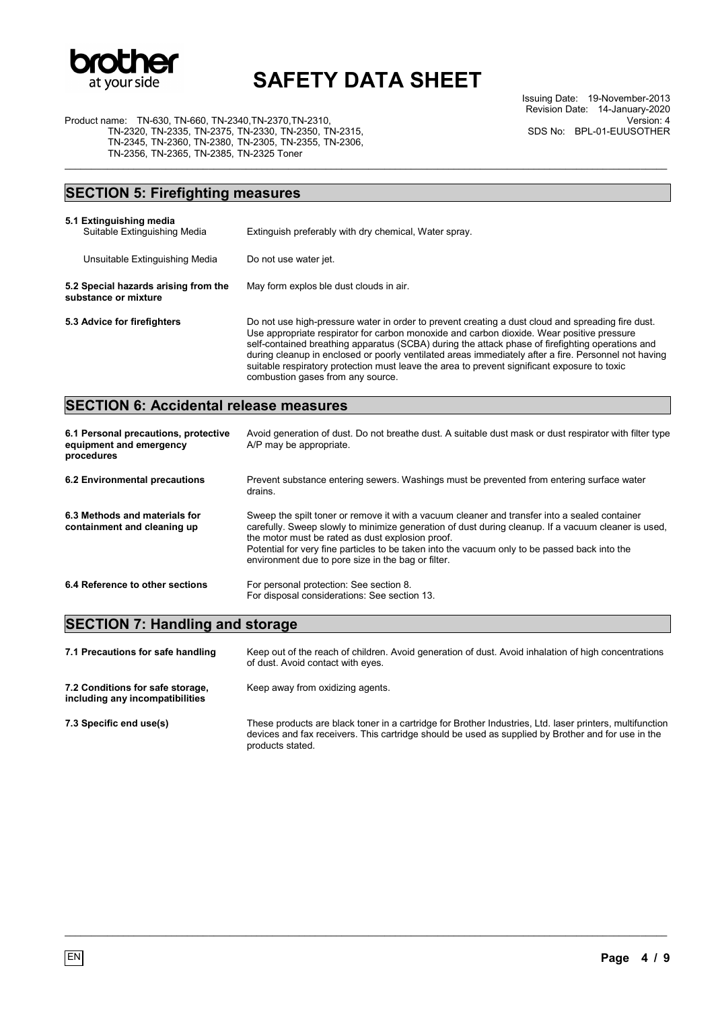

\_\_\_\_\_\_\_\_\_\_\_\_\_\_\_\_\_\_\_\_\_\_\_\_\_\_\_\_\_\_\_\_\_\_\_\_\_\_\_\_\_\_\_\_\_\_\_\_\_\_\_\_\_\_\_\_\_\_\_\_\_\_\_\_\_\_\_\_\_\_\_\_\_\_\_\_\_\_\_\_\_\_\_\_\_\_\_\_\_\_\_\_\_\_\_\_\_\_\_\_\_\_\_\_\_\_\_\_\_\_\_\_\_

Issuing Date: 19-November-2013 Revision Date: 14-January-2020 Version: 4 SDS No: BPL-01-EUUSOTHER

Product name: TN-630, TN-660, TN-2340,TN-2370,TN-2310, TN-2320, TN-2335, TN-2375, TN-2330, TN-2350, TN-2315, TN-2345, TN-2360, TN-2380, TN-2305, TN-2355, TN-2306, TN-2356, TN-2365, TN-2385, TN-2325 Toner

## **SECTION 5: Firefighting measures**

| 5.1 Extinguishing media<br>Suitable Extinguishing Media      | Extinguish preferably with dry chemical, Water spray.                                                                                                                                                                                                                                                                                                                                                                                                                                                                                           |
|--------------------------------------------------------------|-------------------------------------------------------------------------------------------------------------------------------------------------------------------------------------------------------------------------------------------------------------------------------------------------------------------------------------------------------------------------------------------------------------------------------------------------------------------------------------------------------------------------------------------------|
| Unsuitable Extinguishing Media                               | Do not use water jet.                                                                                                                                                                                                                                                                                                                                                                                                                                                                                                                           |
| 5.2 Special hazards arising from the<br>substance or mixture | May form explos ble dust clouds in air.                                                                                                                                                                                                                                                                                                                                                                                                                                                                                                         |
| 5.3 Advice for firefighters                                  | Do not use high-pressure water in order to prevent creating a dust cloud and spreading fire dust.<br>Use appropriate respirator for carbon monoxide and carbon dioxide. Wear positive pressure<br>self-contained breathing apparatus (SCBA) during the attack phase of firefighting operations and<br>during cleanup in enclosed or poorly ventilated areas immediately after a fire. Personnel not having<br>suitable respiratory protection must leave the area to prevent significant exposure to toxic<br>combustion gases from any source. |

## **SECTION 6: Accidental release measures**

| 6.1 Personal precautions, protective<br>equipment and emergency<br>procedures | Avoid generation of dust. Do not breathe dust. A suitable dust mask or dust respirator with filter type<br>A/P may be appropriate.                                                                                                                                                                                                                                                                              |
|-------------------------------------------------------------------------------|-----------------------------------------------------------------------------------------------------------------------------------------------------------------------------------------------------------------------------------------------------------------------------------------------------------------------------------------------------------------------------------------------------------------|
| 6.2 Environmental precautions                                                 | Prevent substance entering sewers. Washings must be prevented from entering surface water<br>drains.                                                                                                                                                                                                                                                                                                            |
| 6.3 Methods and materials for<br>containment and cleaning up                  | Sweep the spilt toner or remove it with a vacuum cleaner and transfer into a sealed container<br>carefully. Sweep slowly to minimize generation of dust during cleanup. If a vacuum cleaner is used,<br>the motor must be rated as dust explosion proof.<br>Potential for very fine particles to be taken into the vacuum only to be passed back into the<br>environment due to pore size in the bag or filter. |
| 6.4 Reference to other sections                                               | For personal protection: See section 8.<br>For disposal considerations: See section 13.                                                                                                                                                                                                                                                                                                                         |

## **SECTION 7: Handling and storage**

| 7.1 Precautions for safe handling                                   | Keep out of the reach of children. Avoid generation of dust. Avoid inhalation of high concentrations<br>of dust. Avoid contact with eyes.                                                                                          |
|---------------------------------------------------------------------|------------------------------------------------------------------------------------------------------------------------------------------------------------------------------------------------------------------------------------|
| 7.2 Conditions for safe storage.<br>including any incompatibilities | Keep away from oxidizing agents.                                                                                                                                                                                                   |
| 7.3 Specific end use(s)                                             | These products are black toner in a cartridge for Brother Industries, Ltd. laser printers, multifunction<br>devices and fax receivers. This cartridge should be used as supplied by Brother and for use in the<br>products stated. |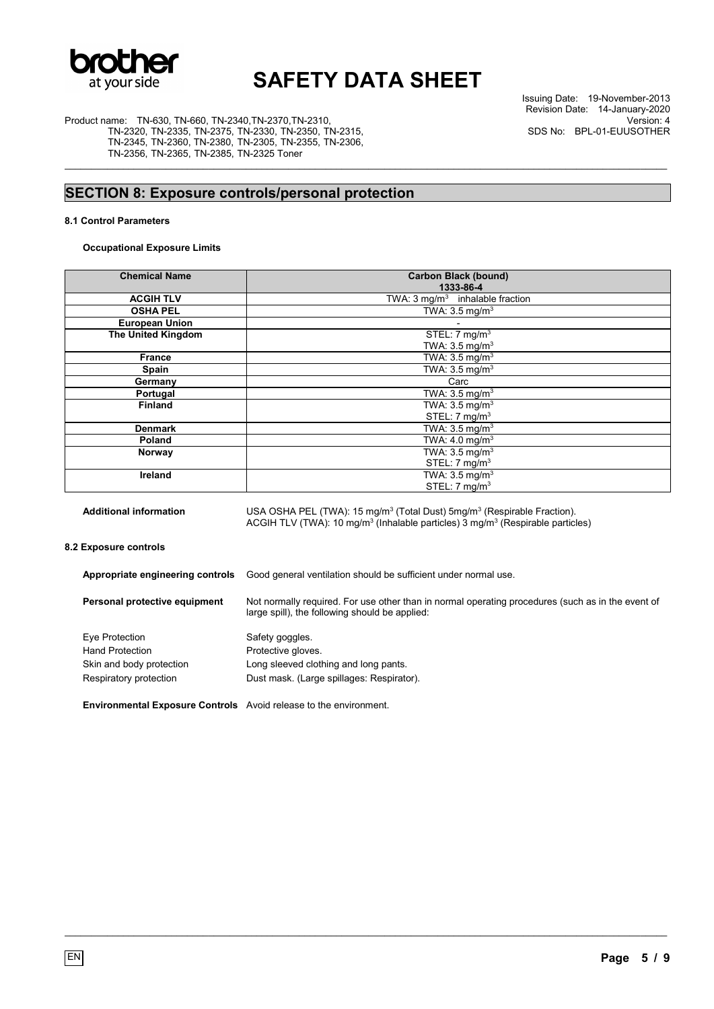

\_\_\_\_\_\_\_\_\_\_\_\_\_\_\_\_\_\_\_\_\_\_\_\_\_\_\_\_\_\_\_\_\_\_\_\_\_\_\_\_\_\_\_\_\_\_\_\_\_\_\_\_\_\_\_\_\_\_\_\_\_\_\_\_\_\_\_\_\_\_\_\_\_\_\_\_\_\_\_\_\_\_\_\_\_\_\_\_\_\_\_\_\_\_\_\_\_\_\_\_\_\_\_\_\_\_\_\_\_\_\_\_\_

Product name: TN-630, TN-660, TN-2340,TN-2370,TN-2310, TN-2320, TN-2335, TN-2375, TN-2330, TN-2350, TN-2315, TN-2345, TN-2360, TN-2380, TN-2305, TN-2355, TN-2306, TN-2356, TN-2365, TN-2385, TN-2325 Toner

Issuing Date: 19-November-2013 Revision Date: 14-January-2020 Version: 4 SDS No: BPL-01-EUUSOTHER

# **SECTION 8: Exposure controls/personal protection**

### **8.1 Control Parameters**

### **Occupational Exposure Limits**

| <b>Chemical Name</b>  | <b>Carbon Black (bound)</b><br>1333-86-4   |
|-----------------------|--------------------------------------------|
| <b>ACGIH TLV</b>      | TWA: $3 \text{ mg/m}^3$ inhalable fraction |
| <b>OSHA PEL</b>       | TWA: $3.5 \text{ mg/m}^3$                  |
| <b>European Union</b> |                                            |
| The United Kingdom    | STEL: $7 \text{ mg/m}^3$                   |
|                       | TWA: $3.5 \text{ mg/m}^3$                  |
| <b>France</b>         | TWA: $3.5 \text{ mg/m}^3$                  |
| Spain                 | TWA: $3.5 \text{ mg/m}^3$                  |
| Germany               | Carc                                       |
| Portugal              | TWA: $3.5 \text{ mg/m}^3$                  |
| <b>Finland</b>        | TWA: $3.5 \text{ mg/m}^3$                  |
|                       | STEL: $7 \text{ mg/m}^3$                   |
| <b>Denmark</b>        | TWA: $3.5 \text{ mg/m}^3$                  |
| Poland                | TWA: $4.0 \text{ mg/m}^3$                  |
| Norway                | TWA: $3.5 \text{ mg/m}^3$                  |
|                       | STEL: $7 \text{ mg/m}^3$                   |
| Ireland               | TWA: $3.5 \text{ mg/m}^3$                  |
|                       | STEL: 7 mg/m <sup>3</sup>                  |

Additional information USA OSHA PEL (TWA): 15 mg/m<sup>3</sup> (Total Dust) 5mg/m<sup>3</sup> (Respirable Fraction). ACGIH TLV (TWA): 10 mg/m<sup>3</sup> (Inhalable particles) 3 mg/m<sup>3</sup> (Respirable particles)

**8.2 Exposure controls** 

| Appropriate engineering controls                                         | Good general ventilation should be sufficient under normal use.                                                                                     |
|--------------------------------------------------------------------------|-----------------------------------------------------------------------------------------------------------------------------------------------------|
| Personal protective equipment                                            | Not normally required. For use other than in normal operating procedures (such as in the event of<br>large spill), the following should be applied: |
| Eye Protection                                                           | Safety goggles.                                                                                                                                     |
| <b>Hand Protection</b>                                                   | Protective gloves.                                                                                                                                  |
| Skin and body protection                                                 | Long sleeved clothing and long pants.                                                                                                               |
| Respiratory protection                                                   | Dust mask. (Large spillages: Respirator).                                                                                                           |
| <b>Environmental Exposure Controls</b> Avoid release to the environment. |                                                                                                                                                     |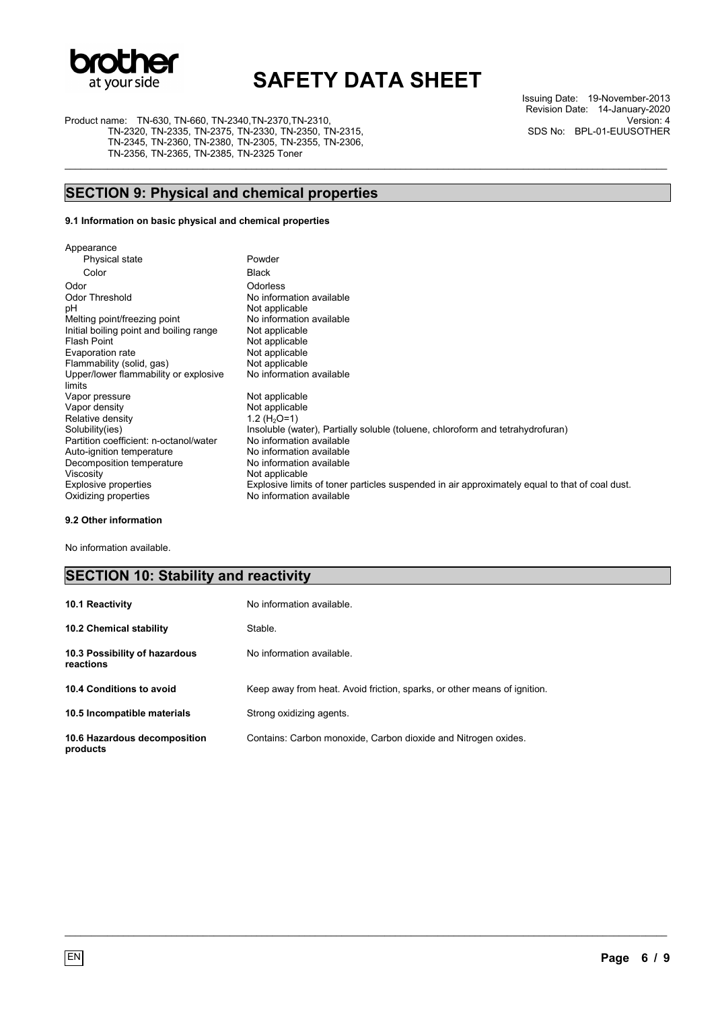

\_\_\_\_\_\_\_\_\_\_\_\_\_\_\_\_\_\_\_\_\_\_\_\_\_\_\_\_\_\_\_\_\_\_\_\_\_\_\_\_\_\_\_\_\_\_\_\_\_\_\_\_\_\_\_\_\_\_\_\_\_\_\_\_\_\_\_\_\_\_\_\_\_\_\_\_\_\_\_\_\_\_\_\_\_\_\_\_\_\_\_\_\_\_\_\_\_\_\_\_\_\_\_\_\_\_\_\_\_\_\_\_\_

Product name: TN-630, TN-660, TN-2340,TN-2370,TN-2310,

TN-2320, TN-2335, TN-2375, TN-2330, TN-2350, TN-2315, TN-2345, TN-2360, TN-2380, TN-2305, TN-2355, TN-2306, TN-2356, TN-2365, TN-2385, TN-2325 Toner

Issuing Date: 19-November-2013 Revision Date: 14-January-2020 Version: 4 SDS No: BPL-01-EUUSOTHER

## **SECTION 9: Physical and chemical properties**

### **9.1 Information on basic physical and chemical properties**

| Appearance                              |                                                                                                |
|-----------------------------------------|------------------------------------------------------------------------------------------------|
| Physical state                          | Powder                                                                                         |
| Color                                   | <b>Black</b>                                                                                   |
| Odor                                    | Odorless                                                                                       |
| Odor Threshold                          | No information available                                                                       |
| рH                                      | Not applicable                                                                                 |
| Melting point/freezing point            | No information available                                                                       |
| Initial boiling point and boiling range | Not applicable                                                                                 |
| Flash Point                             | Not applicable                                                                                 |
| Evaporation rate                        | Not applicable                                                                                 |
| Flammability (solid, gas)               | Not applicable                                                                                 |
| Upper/lower flammability or explosive   | No information available                                                                       |
| limits                                  |                                                                                                |
| Vapor pressure                          | Not applicable                                                                                 |
| Vapor density                           | Not applicable                                                                                 |
| Relative density                        | 1.2 ( $H_2O=1$ )                                                                               |
| Solubility(ies)                         | Insoluble (water), Partially soluble (toluene, chloroform and tetrahydrofuran)                 |
| Partition coefficient: n-octanol/water  | No information available                                                                       |
| Auto-ignition temperature               | No information available                                                                       |
| Decomposition temperature               | No information available                                                                       |
| Viscosity                               | Not applicable                                                                                 |
| Explosive properties                    | Explosive limits of toner particles suspended in air approximately equal to that of coal dust. |
| Oxidizing properties                    | No information available                                                                       |
|                                         |                                                                                                |

### **9.2 Other information**

No information available.

## **SECTION 10: Stability and reactivity**

| <b>10.1 Reactivity</b>                     | No information available.                                                |
|--------------------------------------------|--------------------------------------------------------------------------|
| <b>10.2 Chemical stability</b>             | Stable.                                                                  |
| 10.3 Possibility of hazardous<br>reactions | No information available                                                 |
| 10.4 Conditions to avoid                   | Keep away from heat. Avoid friction, sparks, or other means of ignition. |
| 10.5 Incompatible materials                | Strong oxidizing agents.                                                 |
| 10.6 Hazardous decomposition<br>products   | Contains: Carbon monoxide, Carbon dioxide and Nitrogen oxides.           |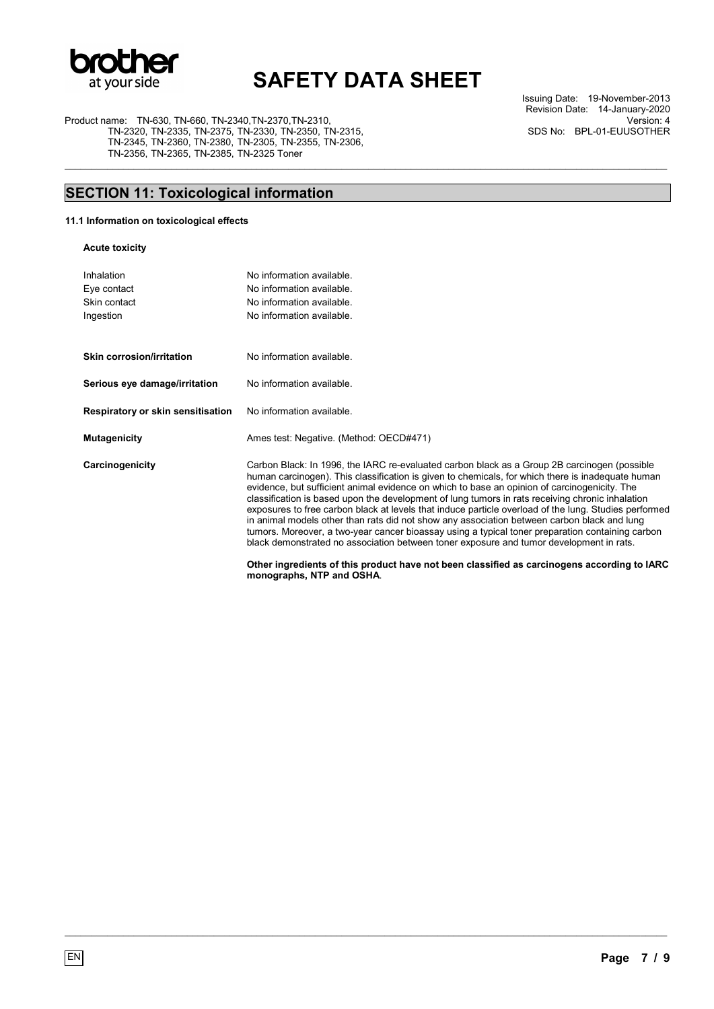

\_\_\_\_\_\_\_\_\_\_\_\_\_\_\_\_\_\_\_\_\_\_\_\_\_\_\_\_\_\_\_\_\_\_\_\_\_\_\_\_\_\_\_\_\_\_\_\_\_\_\_\_\_\_\_\_\_\_\_\_\_\_\_\_\_\_\_\_\_\_\_\_\_\_\_\_\_\_\_\_\_\_\_\_\_\_\_\_\_\_\_\_\_\_\_\_\_\_\_\_\_\_\_\_\_\_\_\_\_\_\_\_\_

Product name: TN-630, TN-660, TN-2340,TN-2370,TN-2310, TN-2320, TN-2335, TN-2375, TN-2330, TN-2350, TN-2315, TN-2345, TN-2360, TN-2380, TN-2305, TN-2355, TN-2306, TN-2356, TN-2365, TN-2385, TN-2325 Toner

Issuing Date: 19-November-2013 Revision Date: 14-January-2020 Version: 4 SDS No: BPL-01-EUUSOTHER

## **SECTION 11: Toxicological information**

Inhalation No information available.

### **11.1 Information on toxicological effects**

|  | <b>Acute toxicity</b> |
|--|-----------------------|
|--|-----------------------|

| <br>Eye contact                   | $\sim$ 111101111011011 0 101101010<br>No information available.                                                                                                                                                                                                                                                                                                                                                                                                                                                                                                                                                                                                                                                                                                                                              |
|-----------------------------------|--------------------------------------------------------------------------------------------------------------------------------------------------------------------------------------------------------------------------------------------------------------------------------------------------------------------------------------------------------------------------------------------------------------------------------------------------------------------------------------------------------------------------------------------------------------------------------------------------------------------------------------------------------------------------------------------------------------------------------------------------------------------------------------------------------------|
| Skin contact                      | No information available.                                                                                                                                                                                                                                                                                                                                                                                                                                                                                                                                                                                                                                                                                                                                                                                    |
| Ingestion                         | No information available.                                                                                                                                                                                                                                                                                                                                                                                                                                                                                                                                                                                                                                                                                                                                                                                    |
|                                   |                                                                                                                                                                                                                                                                                                                                                                                                                                                                                                                                                                                                                                                                                                                                                                                                              |
| Skin corrosion/irritation         | No information available.                                                                                                                                                                                                                                                                                                                                                                                                                                                                                                                                                                                                                                                                                                                                                                                    |
| Serious eye damage/irritation     | No information available.                                                                                                                                                                                                                                                                                                                                                                                                                                                                                                                                                                                                                                                                                                                                                                                    |
| Respiratory or skin sensitisation | No information available.                                                                                                                                                                                                                                                                                                                                                                                                                                                                                                                                                                                                                                                                                                                                                                                    |
| <b>Mutagenicity</b>               | Ames test: Negative. (Method: OECD#471)                                                                                                                                                                                                                                                                                                                                                                                                                                                                                                                                                                                                                                                                                                                                                                      |
| Carcinogenicity                   | Carbon Black: In 1996, the IARC re-evaluated carbon black as a Group 2B carcinogen (possible<br>human carcinogen). This classification is given to chemicals, for which there is inadequate human<br>evidence, but sufficient animal evidence on which to base an opinion of carcinogenicity. The<br>classification is based upon the development of lung tumors in rats receiving chronic inhalation<br>exposures to free carbon black at levels that induce particle overload of the lung. Studies performed<br>in animal models other than rats did not show any association between carbon black and lung<br>tumors. Moreover, a two-year cancer bioassay using a typical toner preparation containing carbon<br>black demonstrated no association between toner exposure and tumor development in rats. |
|                                   | Other ingredients of this product have not been classified as carcinogens according to IARC<br>monographs, NTP and OSHA.                                                                                                                                                                                                                                                                                                                                                                                                                                                                                                                                                                                                                                                                                     |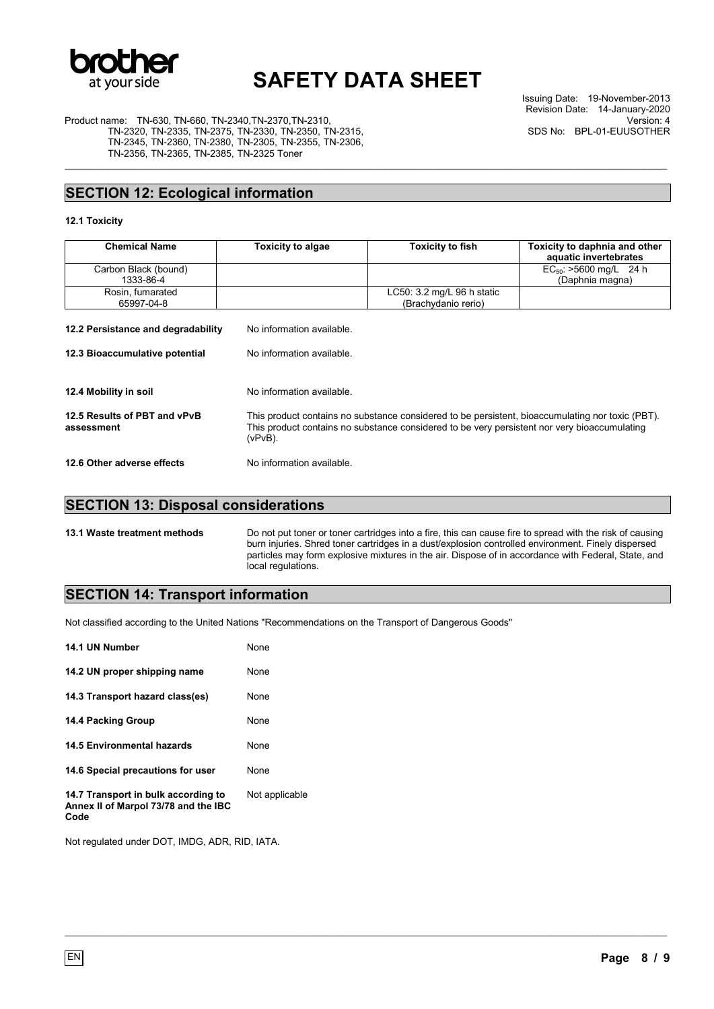

\_\_\_\_\_\_\_\_\_\_\_\_\_\_\_\_\_\_\_\_\_\_\_\_\_\_\_\_\_\_\_\_\_\_\_\_\_\_\_\_\_\_\_\_\_\_\_\_\_\_\_\_\_\_\_\_\_\_\_\_\_\_\_\_\_\_\_\_\_\_\_\_\_\_\_\_\_\_\_\_\_\_\_\_\_\_\_\_\_\_\_\_\_\_\_\_\_\_\_\_\_\_\_\_\_\_\_\_\_\_\_\_\_

Issuing Date: 19-November-2013 Revision Date: 14-January-2020 Version: 4 SDS No: BPL-01-EUUSOTHER

Product name: TN-630, TN-660, TN-2340,TN-2370,TN-2310, TN-2320, TN-2335, TN-2375, TN-2330, TN-2350, TN-2315, TN-2345, TN-2360, TN-2380, TN-2305, TN-2355, TN-2306, TN-2356, TN-2365, TN-2385, TN-2325 Toner

## **SECTION 12: Ecological information**

### **12.1 Toxicity**

| <b>Chemical Name</b>                       | <b>Toxicity to algae</b>                                                                                                                                                                                    | <b>Toxicity to fish</b>                                     | Toxicity to daphnia and other<br>aquatic invertebrates |
|--------------------------------------------|-------------------------------------------------------------------------------------------------------------------------------------------------------------------------------------------------------------|-------------------------------------------------------------|--------------------------------------------------------|
| Carbon Black (bound)<br>1333-86-4          |                                                                                                                                                                                                             |                                                             | $EC_{50}$ : >5600 mg/L 24 h<br>(Daphnia magna)         |
| Rosin, fumarated<br>65997-04-8             |                                                                                                                                                                                                             | LC50: $3.2 \text{ mg/L}$ 96 h static<br>(Brachydanio rerio) |                                                        |
| 12.2 Persistance and degradability         | No information available.                                                                                                                                                                                   |                                                             |                                                        |
| 12.3 Bioaccumulative potential             | No information available.                                                                                                                                                                                   |                                                             |                                                        |
| 12.4 Mobility in soil                      | No information available                                                                                                                                                                                    |                                                             |                                                        |
| 12.5 Results of PBT and vPvB<br>assessment | This product contains no substance considered to be persistent, bioaccumulating nor toxic (PBT).<br>This product contains no substance considered to be very persistent nor very bioaccumulating<br>(vPvB). |                                                             |                                                        |
| 12.6 Other adverse effects                 | No information available.                                                                                                                                                                                   |                                                             |                                                        |

## **SECTION 13: Disposal considerations**

**13.1 Waste treatment methods** Do not put toner or toner cartridges into a fire, this can cause fire to spread with the risk of causing burn injuries. Shred toner cartridges in a dust/explosion controlled environment. Finely dispersed particles may form explosive mixtures in the air. Dispose of in accordance with Federal, State, and local regulations.

 $\_$  , and the set of the set of the set of the set of the set of the set of the set of the set of the set of the set of the set of the set of the set of the set of the set of the set of the set of the set of the set of th

## **SECTION 14: Transport information**

Not classified according to the United Nations "Recommendations on the Transport of Dangerous Goods"

| 14.1 UN Number                                                                      | None           |
|-------------------------------------------------------------------------------------|----------------|
| 14.2 UN proper shipping name                                                        | None           |
| 14.3 Transport hazard class(es)                                                     | None           |
| 14.4 Packing Group                                                                  | None           |
| 14.5 Environmental hazards                                                          | None           |
| 14.6 Special precautions for user                                                   | None           |
| 14.7 Transport in bulk according to<br>Annex II of Marpol 73/78 and the IBC<br>Code | Not applicable |

Not regulated under DOT, IMDG, ADR, RID, IATA.